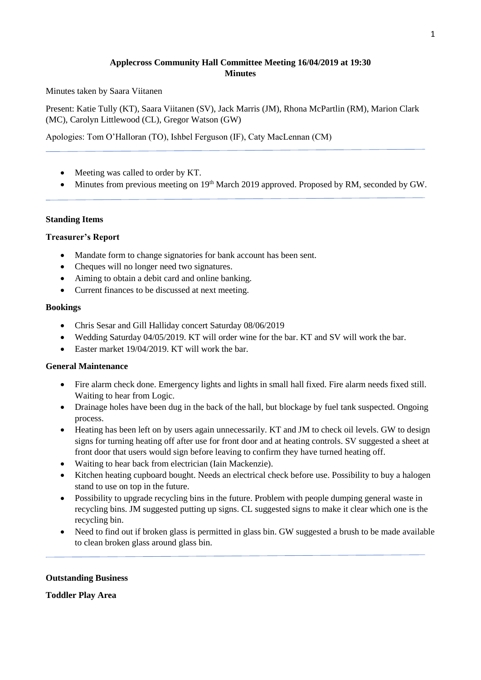#### **Applecross Community Hall Committee Meeting 16/04/2019 at 19:30 Minutes**

Minutes taken by Saara Viitanen

Present: Katie Tully (KT), Saara Viitanen (SV), Jack Marris (JM), Rhona McPartlin (RM), Marion Clark (MC), Carolyn Littlewood (CL), Gregor Watson (GW)

Apologies: Tom O'Halloran (TO), Ishbel Ferguson (IF), Caty MacLennan (CM)

- Meeting was called to order by KT.
- Minutes from previous meeting on 19<sup>th</sup> March 2019 approved. Proposed by RM, seconded by GW.

#### **Standing Items**

#### **Treasurer's Report**

- Mandate form to change signatories for bank account has been sent.
- Cheques will no longer need two signatures.
- Aiming to obtain a debit card and online banking.
- Current finances to be discussed at next meeting.

#### **Bookings**

- Chris Sesar and Gill Halliday concert Saturday 08/06/2019
- Wedding Saturday 04/05/2019. KT will order wine for the bar. KT and SV will work the bar.
- Easter market 19/04/2019. KT will work the bar.

#### **General Maintenance**

- Fire alarm check done. Emergency lights and lights in small hall fixed. Fire alarm needs fixed still. Waiting to hear from Logic.
- Drainage holes have been dug in the back of the hall, but blockage by fuel tank suspected. Ongoing process.
- Heating has been left on by users again unnecessarily. KT and JM to check oil levels. GW to design signs for turning heating off after use for front door and at heating controls. SV suggested a sheet at front door that users would sign before leaving to confirm they have turned heating off.
- Waiting to hear back from electrician (Iain Mackenzie).
- Kitchen heating cupboard bought. Needs an electrical check before use. Possibility to buy a halogen stand to use on top in the future.
- Possibility to upgrade recycling bins in the future. Problem with people dumping general waste in recycling bins. JM suggested putting up signs. CL suggested signs to make it clear which one is the recycling bin.
- Need to find out if broken glass is permitted in glass bin. GW suggested a brush to be made available to clean broken glass around glass bin.

#### **Outstanding Business**

**Toddler Play Area**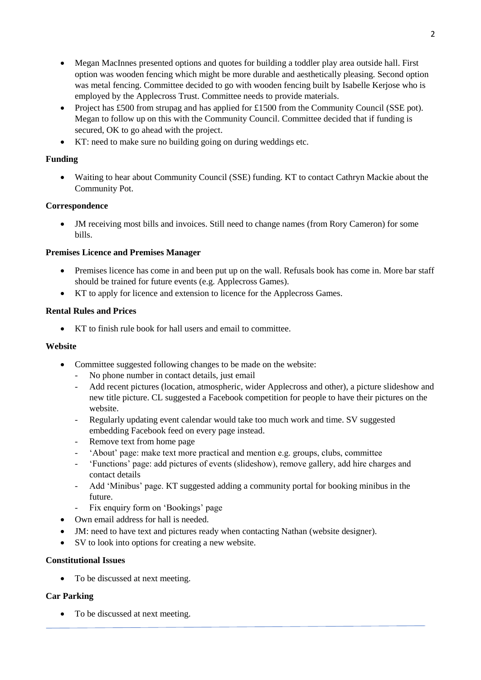- Megan MacInnes presented options and quotes for building a toddler play area outside hall. First option was wooden fencing which might be more durable and aesthetically pleasing. Second option was metal fencing. Committee decided to go with wooden fencing built by Isabelle Kerjose who is employed by the Applecross Trust. Committee needs to provide materials.
- Project has £500 from strupag and has applied for £1500 from the Community Council (SSE pot). Megan to follow up on this with the Community Council. Committee decided that if funding is secured, OK to go ahead with the project.
- KT: need to make sure no building going on during weddings etc.

## **Funding**

• Waiting to hear about Community Council (SSE) funding. KT to contact Cathryn Mackie about the Community Pot.

## **Correspondence**

• JM receiving most bills and invoices. Still need to change names (from Rory Cameron) for some bills.

## **Premises Licence and Premises Manager**

- Premises licence has come in and been put up on the wall. Refusals book has come in. More bar staff should be trained for future events (e.g. Applecross Games).
- KT to apply for licence and extension to licence for the Applecross Games.

## **Rental Rules and Prices**

• KT to finish rule book for hall users and email to committee.

### **Website**

- Committee suggested following changes to be made on the website:
	- No phone number in contact details, just email
	- Add recent pictures (location, atmospheric, wider Applecross and other), a picture slideshow and new title picture. CL suggested a Facebook competition for people to have their pictures on the website.
	- Regularly updating event calendar would take too much work and time. SV suggested embedding Facebook feed on every page instead.
	- Remove text from home page
	- 'About' page: make text more practical and mention e.g. groups, clubs, committee
	- 'Functions' page: add pictures of events (slideshow), remove gallery, add hire charges and contact details
	- Add 'Minibus' page. KT suggested adding a community portal for booking minibus in the future.
	- Fix enquiry form on 'Bookings' page
- Own email address for hall is needed.
- JM: need to have text and pictures ready when contacting Nathan (website designer).
- SV to look into options for creating a new website.

### **Constitutional Issues**

• To be discussed at next meeting.

# **Car Parking**

• To be discussed at next meeting.